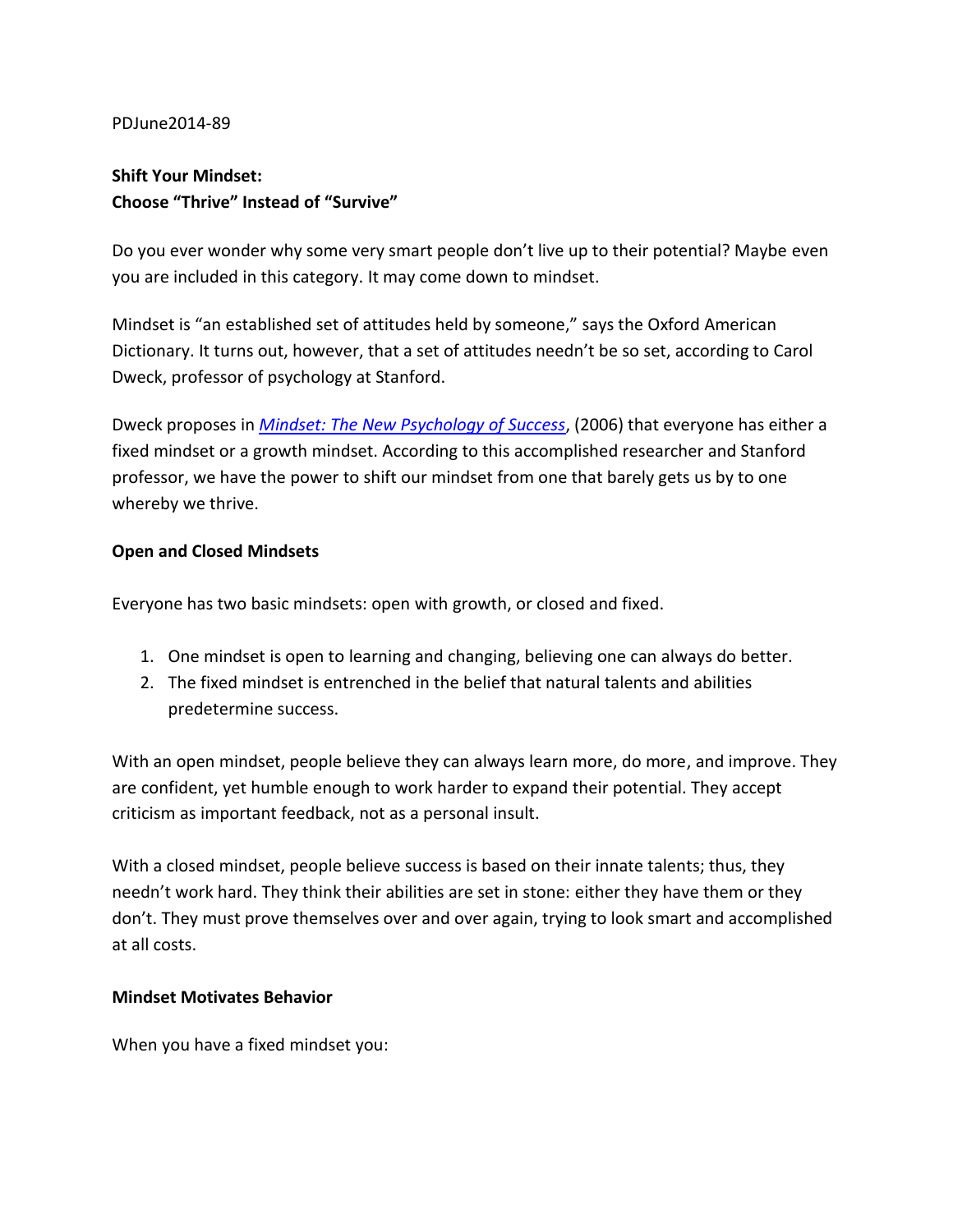#### PD.June2014-89

# **Shift Your Mindset: Choose "Thrive" Instead of "Survive"**

Do you ever wonder why some very smart people don't live up to their potential? Maybe even you are included in this category. It may come down to mindset.

Mindset is "an established set of attitudes held by someone," says the Oxford American Dictionary. It turns out, however, that a set of attitudes needn't be so set, according to Carol Dweck, professor of psychology at Stanford.

Dweck proposes in *Mindset: The New Psychology of Success*, (2006) that everyone has either a fixed mindset or a growth mindset. According to this accomplished researcher and Stanford professor, we have the power to shift our mindset from one that barely gets us by to one whereby we thrive.

### **Open and Closed Mindsets**

Everyone has two basic mindsets: open with growth, or closed and fixed.

- 1. One mindset is open to learning and changing, believing one can always do better.
- 2. The fixed mindset is entrenched in the belief that natural talents and abilities predetermine success.

With an open mindset, people believe they can always learn more, do more, and improve. They are confident, yet humble enough to work harder to expand their potential. They accept criticism as important feedback, not as a personal insult.

With a closed mindset, people believe success is based on their innate talents; thus, they needn't work hard. They think their abilities are set in stone: either they have them or they don't. They must prove themselves over and over again, trying to look smart and accomplished at all costs.

#### **Mindset Motivates Behavior**

When you have a fixed mindset you: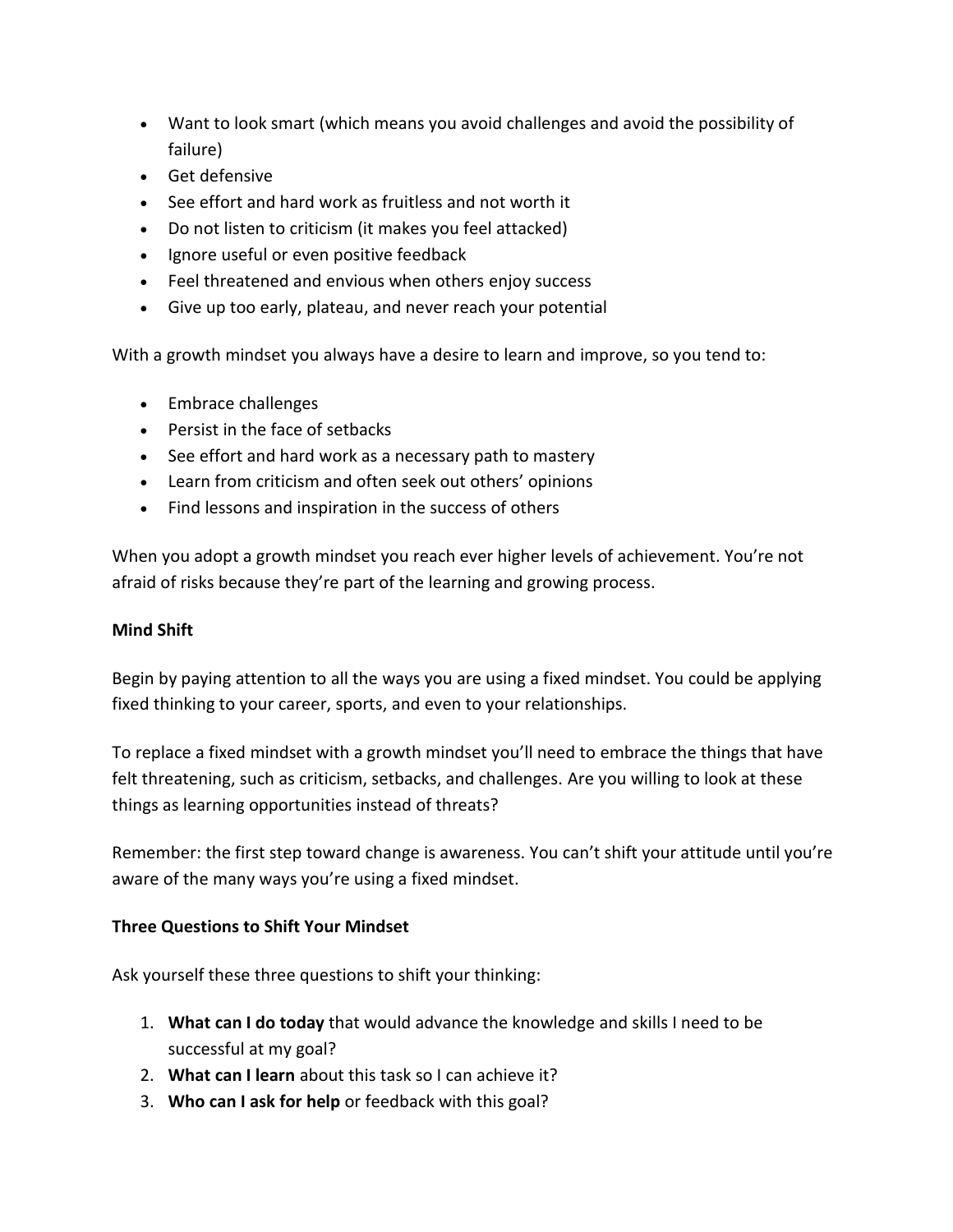- Want to look smart (which means you avoid challenges and avoid the possibility of failure)
- Get defensive
- See effort and hard work as fruitless and not worth it
- Do not listen to criticism (it makes you feel attacked)
- · Ignore useful or even positive feedback
- Feel threatened and envious when others enjoy success
- Give up too early, plateau, and never reach your potential

With a growth mindset you always have a desire to learn and improve, so you tend to:

- Embrace challenges
- Persist in the face of setbacks
- See effort and hard work as a necessary path to mastery
- Learn from criticism and often seek out others' opinions
- Find lessons and inspiration in the success of others

When you adopt a growth mindset you reach ever higher levels of achievement. You're not afraid of risks because they're part of the learning and growing process.

## **Mind Shift**

Begin by paying attention to all the ways you are using a fixed mindset. You could be applying fixed thinking to your career, sports, and even to your relationships.

To replace a fixed mindset with a growth mindset you'll need to embrace the things that have felt threatening, such as criticism, setbacks, and challenges. Are you willing to look at these things as learning opportunities instead of threats?

Remember: the first step toward change is awareness. You can't shift your attitude until you're aware of the many ways you're using a fixed mindset.

#### **Three Questions to Shift Your Mindset**

Ask yourself these three questions to shift your thinking:

- 1. What can I do today that would advance the knowledge and skills I need to be successful at my goal?
- 2. What can I learn about this task so I can achieve it?
- 3. Who can I ask for help or feedback with this goal?